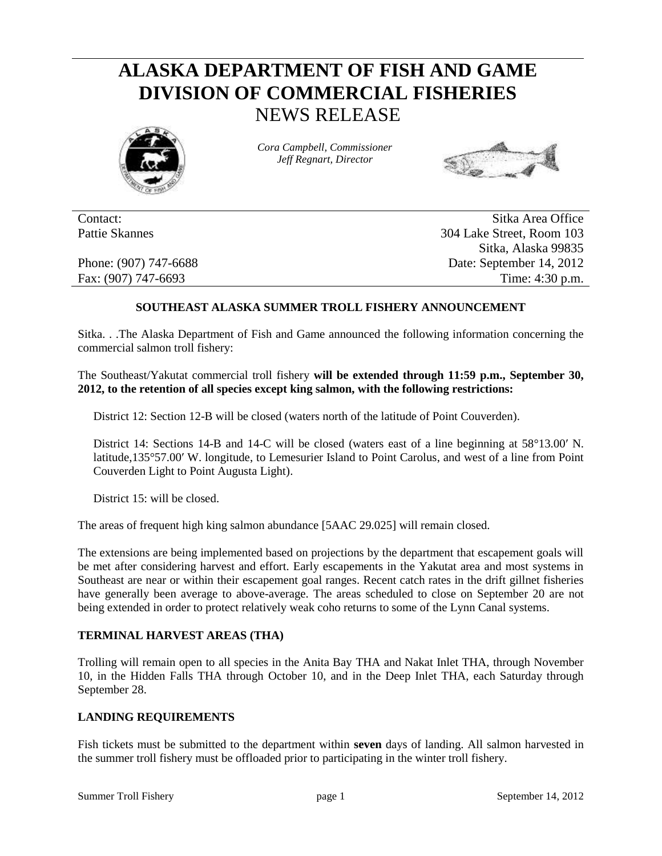# **ALASKA DEPARTMENT OF FISH AND GAME DIVISION OF COMMERCIAL FISHERIES** NEWS RELEASE



*Cora Campbell, Commissioner Jeff Regnart, Director*



Contact: Sitka Area Office Pattie Skannes 304 Lake Street, Room 103 Sitka, Alaska 99835 Phone: (907) 747-6688 Date: September 14, 2012 Fax: (907) 747-6693 Time: 4:30 p.m.

# **SOUTHEAST ALASKA SUMMER TROLL FISHERY ANNOUNCEMENT**

Sitka. . .The Alaska Department of Fish and Game announced the following information concerning the commercial salmon troll fishery:

The Southeast/Yakutat commercial troll fishery **will be extended through 11:59 p.m., September 30, 2012, to the retention of all species except king salmon, with the following restrictions:**

District 12: Section 12-B will be closed (waters north of the latitude of Point Couverden).

District 14: Sections 14-B and 14-C will be closed (waters east of a line beginning at 58°13.00′ N. latitude,135°57.00′ W. longitude, to Lemesurier Island to Point Carolus, and west of a line from Point Couverden Light to Point Augusta Light).

District 15: will be closed.

The areas of frequent high king salmon abundance [5AAC 29.025] will remain closed.

The extensions are being implemented based on projections by the department that escapement goals will be met after considering harvest and effort. Early escapements in the Yakutat area and most systems in Southeast are near or within their escapement goal ranges. Recent catch rates in the drift gillnet fisheries have generally been average to above-average. The areas scheduled to close on September 20 are not being extended in order to protect relatively weak coho returns to some of the Lynn Canal systems.

### **TERMINAL HARVEST AREAS (THA)**

Trolling will remain open to all species in the Anita Bay THA and Nakat Inlet THA, through November 10, in the Hidden Falls THA through October 10, and in the Deep Inlet THA, each Saturday through September 28.

#### **LANDING REQUIREMENTS**

Fish tickets must be submitted to the department within **seven** days of landing. All salmon harvested in the summer troll fishery must be offloaded prior to participating in the winter troll fishery.